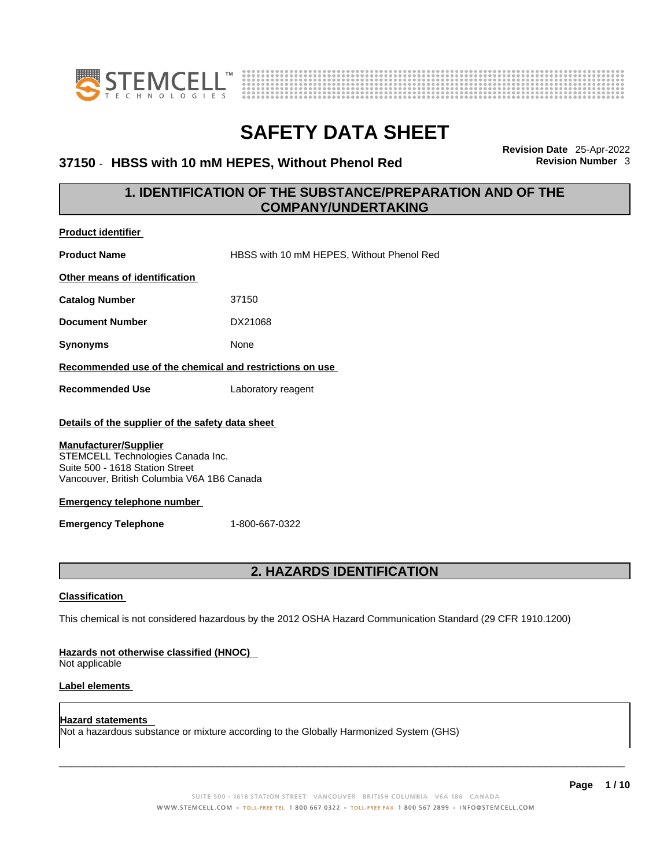



### 37150 - HBSS with 10 mM HEPES, Without Phenol Red

**Revision Date** 25-Apr-2022

### **1. IDENTIFICATION OF THE SUBSTANCE/PREPARATION AND OF THE COMPANY/UNDERTAKING**

| <b>Product identifier</b>                                                                                                                                                             |                                                                                                             |
|---------------------------------------------------------------------------------------------------------------------------------------------------------------------------------------|-------------------------------------------------------------------------------------------------------------|
| <b>Product Name</b>                                                                                                                                                                   | HBSS with 10 mM HEPES, Without Phenol Red                                                                   |
| Other means of identification                                                                                                                                                         |                                                                                                             |
| <b>Catalog Number</b>                                                                                                                                                                 | 37150                                                                                                       |
| <b>Document Number</b>                                                                                                                                                                | DX21068                                                                                                     |
| <b>Synonyms</b>                                                                                                                                                                       | None                                                                                                        |
| Recommended use of the chemical and restrictions on use                                                                                                                               |                                                                                                             |
| <b>Recommended Use</b>                                                                                                                                                                | Laboratory reagent                                                                                          |
| Details of the supplier of the safety data sheet                                                                                                                                      |                                                                                                             |
| STEMCELL Technologies Canada Inc.<br>Suite 500 - 1618 Station Street<br>Vancouver, British Columbia V6A 1B6 Canada<br><b>Emergency telephone number</b><br><b>Emergency Telephone</b> | 1-800-667-0322                                                                                              |
|                                                                                                                                                                                       | 2. HAZARDS IDENTIFICATION                                                                                   |
| <b>Classification</b>                                                                                                                                                                 |                                                                                                             |
|                                                                                                                                                                                       | This chemical is not considered hazardous by the 2012 OSHA Hazard Communication Standard (29 CFR 1910.1200) |
| Hazards not otherwise classified (HNOC)<br>Not applicable                                                                                                                             |                                                                                                             |
| Label elements                                                                                                                                                                        |                                                                                                             |
| <b>Hazard statements</b>                                                                                                                                                              |                                                                                                             |

 $\_$  ,  $\_$  ,  $\_$  ,  $\_$  ,  $\_$  ,  $\_$  ,  $\_$  ,  $\_$  ,  $\_$  ,  $\_$  ,  $\_$  ,  $\_$  ,  $\_$  ,  $\_$  ,  $\_$  ,  $\_$  ,  $\_$  ,  $\_$  ,  $\_$  ,  $\_$  ,  $\_$  ,  $\_$  ,  $\_$  ,  $\_$  ,  $\_$  ,  $\_$  ,  $\_$  ,  $\_$  ,  $\_$  ,  $\_$  ,  $\_$  ,  $\_$  ,  $\_$  ,  $\_$  ,  $\_$  ,  $\_$  ,  $\_$  ,

Not a hazardous substance or mixture according to the Globally Harmonized System (GHS)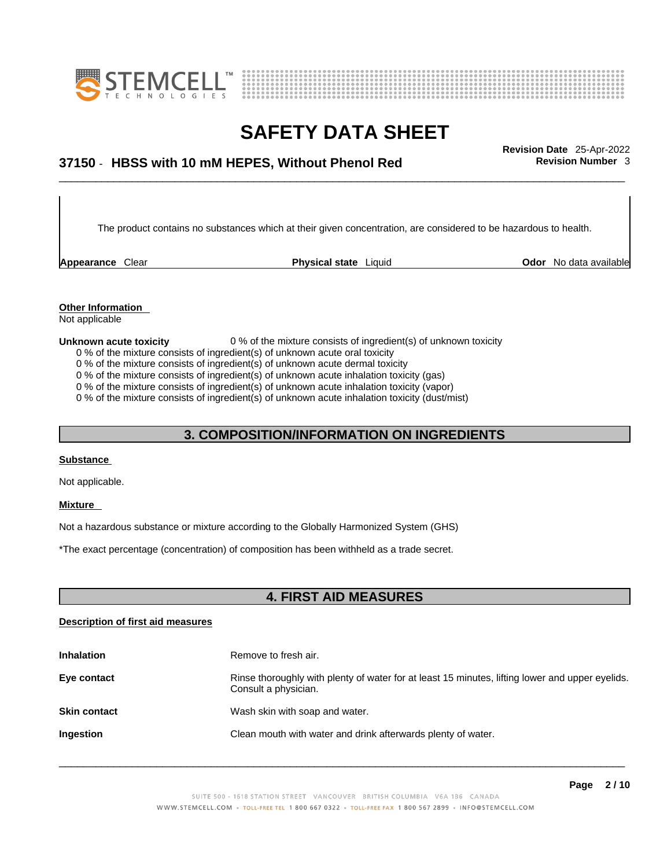



## \_\_\_\_\_\_\_\_\_\_\_\_\_\_\_\_\_\_\_\_\_\_\_\_\_\_\_\_\_\_\_\_\_\_\_\_\_\_\_\_\_\_\_\_\_\_\_\_\_\_\_\_\_\_\_\_\_\_\_\_\_\_\_\_\_\_\_\_\_\_\_\_\_\_\_\_\_\_\_\_\_\_\_\_\_\_\_\_\_\_\_\_\_ **Revision Date** 25-Apr-2022 **37150** - **HBSS with 10 mM HEPES, Without Phenol Red Revision Number** 3

The product contains no substances which at their given concentration, are considered to be hazardous to health.

**Appearance** Clear **Physical state** Liquid

**Odor** No data available

**Other Information** 

### Not applicable

### **Unknown acute toxicity** 0 % of the mixture consists of ingredient(s) of unknown toxicity

- 0 % of the mixture consists of ingredient(s) of unknown acute oral toxicity
- 0 % of the mixture consists of ingredient(s) of unknown acute dermal toxicity
- 0 % of the mixture consists of ingredient(s) of unknown acute inhalation toxicity (gas)
- 0 % of the mixture consists of ingredient(s) of unknown acute inhalation toxicity (vapor)

0 % of the mixture consists of ingredient(s) of unknown acute inhalation toxicity (dust/mist)

### **3. COMPOSITION/INFORMATION ON INGREDIENTS**

### **Substance**

Not applicable.

#### **Mixture**

Not a hazardous substance or mixture according to the Globally Harmonized System (GHS)

\*The exact percentage (concentration) of composition has been withheld as a trade secret.

### **4. FIRST AID MEASURES**

#### **Description of first aid measures**

| <b>Inhalation</b>   | Remove to fresh air.                                                                                                    |
|---------------------|-------------------------------------------------------------------------------------------------------------------------|
| Eye contact         | Rinse thoroughly with plenty of water for at least 15 minutes, lifting lower and upper eyelids.<br>Consult a physician. |
| <b>Skin contact</b> | Wash skin with soap and water.                                                                                          |
| <b>Ingestion</b>    | Clean mouth with water and drink afterwards plenty of water.                                                            |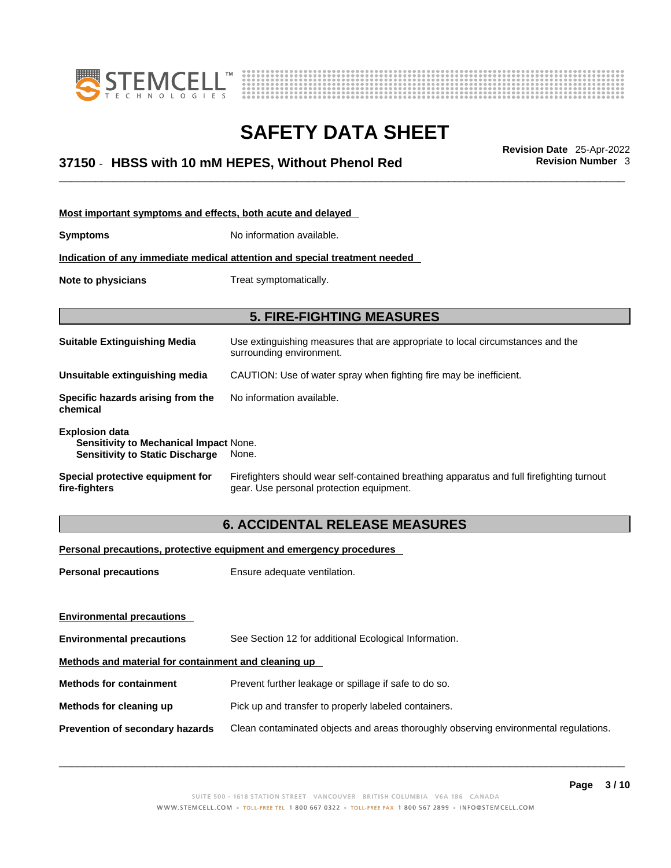



## \_\_\_\_\_\_\_\_\_\_\_\_\_\_\_\_\_\_\_\_\_\_\_\_\_\_\_\_\_\_\_\_\_\_\_\_\_\_\_\_\_\_\_\_\_\_\_\_\_\_\_\_\_\_\_\_\_\_\_\_\_\_\_\_\_\_\_\_\_\_\_\_\_\_\_\_\_\_\_\_\_\_\_\_\_\_\_\_\_\_\_\_\_ **Revision Date** 25-Apr-2022 **37150** - **HBSS with 10 mM HEPES, Without Phenol Red Revision Number** 3

| Most important symptoms and effects, both acute and delayed                                                      |                                                                                                                                       |
|------------------------------------------------------------------------------------------------------------------|---------------------------------------------------------------------------------------------------------------------------------------|
| <b>Symptoms</b>                                                                                                  | No information available.                                                                                                             |
|                                                                                                                  | Indication of any immediate medical attention and special treatment needed                                                            |
| Note to physicians                                                                                               | Treat symptomatically.                                                                                                                |
|                                                                                                                  | <b>5. FIRE-FIGHTING MEASURES</b>                                                                                                      |
| <b>Suitable Extinguishing Media</b>                                                                              | Use extinguishing measures that are appropriate to local circumstances and the<br>surrounding environment.                            |
| Unsuitable extinguishing media                                                                                   | CAUTION: Use of water spray when fighting fire may be inefficient.                                                                    |
| Specific hazards arising from the<br>chemical                                                                    | No information available.                                                                                                             |
| <b>Explosion data</b><br><b>Sensitivity to Mechanical Impact None.</b><br><b>Sensitivity to Static Discharge</b> | None.                                                                                                                                 |
| Special protective equipment for<br>fire-fighters                                                                | Firefighters should wear self-contained breathing apparatus and full firefighting turnout<br>gear. Use personal protection equipment. |

### **6. ACCIDENTAL RELEASE MEASURES**

### **Personal precautions, protective equipment and emergency procedures**

| <b>Personal precautions</b>                          | Ensure adequate ventilation.                                                         |  |
|------------------------------------------------------|--------------------------------------------------------------------------------------|--|
|                                                      |                                                                                      |  |
| <b>Environmental precautions</b>                     |                                                                                      |  |
| <b>Environmental precautions</b>                     | See Section 12 for additional Ecological Information.                                |  |
| Methods and material for containment and cleaning up |                                                                                      |  |
| <b>Methods for containment</b>                       | Prevent further leakage or spillage if safe to do so.                                |  |
| Methods for cleaning up                              | Pick up and transfer to properly labeled containers.                                 |  |
| Prevention of secondary hazards                      | Clean contaminated objects and areas thoroughly observing environmental regulations. |  |
|                                                      |                                                                                      |  |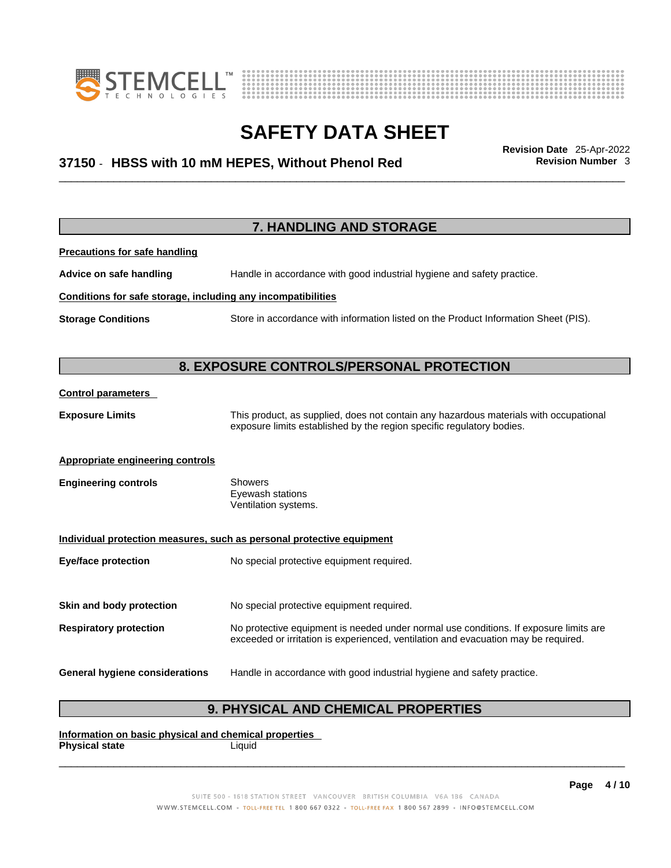



## \_\_\_\_\_\_\_\_\_\_\_\_\_\_\_\_\_\_\_\_\_\_\_\_\_\_\_\_\_\_\_\_\_\_\_\_\_\_\_\_\_\_\_\_\_\_\_\_\_\_\_\_\_\_\_\_\_\_\_\_\_\_\_\_\_\_\_\_\_\_\_\_\_\_\_\_\_\_\_\_\_\_\_\_\_\_\_\_\_\_\_\_\_ **Revision Date** 25-Apr-2022 **37150** - **HBSS with 10 mM HEPES, Without Phenol Red Revision Number** 3

|                                                              | 7. HANDLING AND STORAGE                                                                                                                                                     |  |  |
|--------------------------------------------------------------|-----------------------------------------------------------------------------------------------------------------------------------------------------------------------------|--|--|
| <b>Precautions for safe handling</b>                         |                                                                                                                                                                             |  |  |
| Advice on safe handling                                      | Handle in accordance with good industrial hygiene and safety practice.                                                                                                      |  |  |
| Conditions for safe storage, including any incompatibilities |                                                                                                                                                                             |  |  |
| <b>Storage Conditions</b>                                    | Store in accordance with information listed on the Product Information Sheet (PIS).                                                                                         |  |  |
|                                                              |                                                                                                                                                                             |  |  |
|                                                              | 8. EXPOSURE CONTROLS/PERSONAL PROTECTION                                                                                                                                    |  |  |
| <b>Control parameters</b>                                    |                                                                                                                                                                             |  |  |
| <b>Exposure Limits</b>                                       | This product, as supplied, does not contain any hazardous materials with occupational<br>exposure limits established by the region specific regulatory bodies.              |  |  |
| <b>Appropriate engineering controls</b>                      |                                                                                                                                                                             |  |  |
| <b>Engineering controls</b>                                  | <b>Showers</b><br>Eyewash stations<br>Ventilation systems.                                                                                                                  |  |  |
|                                                              | Individual protection measures, such as personal protective equipment                                                                                                       |  |  |
| <b>Eye/face protection</b>                                   | No special protective equipment required.                                                                                                                                   |  |  |
| Skin and body protection                                     | No special protective equipment required.                                                                                                                                   |  |  |
| <b>Respiratory protection</b>                                | No protective equipment is needed under normal use conditions. If exposure limits are<br>exceeded or irritation is experienced, ventilation and evacuation may be required. |  |  |
| <b>General hygiene considerations</b>                        | Handle in accordance with good industrial hygiene and safety practice.                                                                                                      |  |  |

### **9. PHYSICAL AND CHEMICAL PROPERTIES**

**Information on basic physical and chemical properties Physical state**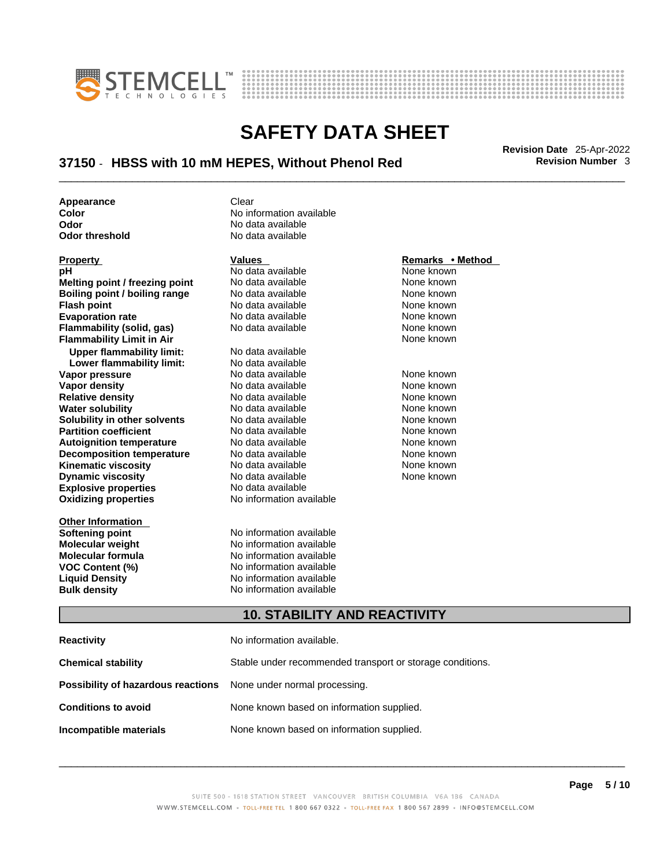



## \_\_\_\_\_\_\_\_\_\_\_\_\_\_\_\_\_\_\_\_\_\_\_\_\_\_\_\_\_\_\_\_\_\_\_\_\_\_\_\_\_\_\_\_\_\_\_\_\_\_\_\_\_\_\_\_\_\_\_\_\_\_\_\_\_\_\_\_\_\_\_\_\_\_\_\_\_\_\_\_\_\_\_\_\_\_\_\_\_\_\_\_\_ **Revision Date** 25-Apr-2022 **37150** - **HBSS with 10 mM HEPES, Without Phenol Red Revision Number** 3

**No data available** 

**Appearance** Clear<br> **Color** No inf **Color** No information available **Odor No data available**<br> **Odor threshold No data available** 

| <b>Property</b>                           | <b>Values</b>                                             | Remarks • Method |  |
|-------------------------------------------|-----------------------------------------------------------|------------------|--|
| рH                                        | No data available                                         | None known       |  |
| Melting point / freezing point            | No data available                                         | None known       |  |
| Boiling point / boiling range             | No data available                                         | None known       |  |
| <b>Flash point</b>                        | No data available                                         | None known       |  |
| <b>Evaporation rate</b>                   | No data available                                         | None known       |  |
| <b>Flammability (solid, gas)</b>          | No data available                                         | None known       |  |
| <b>Flammability Limit in Air</b>          |                                                           | None known       |  |
| <b>Upper flammability limit:</b>          | No data available                                         |                  |  |
| Lower flammability limit:                 | No data available                                         |                  |  |
| Vapor pressure                            | No data available                                         | None known       |  |
| Vapor density                             | No data available                                         | None known       |  |
| <b>Relative density</b>                   | No data available                                         | None known       |  |
| <b>Water solubility</b>                   | No data available                                         | None known       |  |
| Solubility in other solvents              | No data available                                         | None known       |  |
| <b>Partition coefficient</b>              | No data available                                         | None known       |  |
| <b>Autoignition temperature</b>           | No data available                                         | None known       |  |
| <b>Decomposition temperature</b>          | No data available                                         | None known       |  |
| <b>Kinematic viscosity</b>                | No data available                                         | None known       |  |
| <b>Dynamic viscosity</b>                  | No data available                                         | None known       |  |
| <b>Explosive properties</b>               | No data available                                         |                  |  |
| <b>Oxidizing properties</b>               | No information available                                  |                  |  |
| <b>Other Information</b>                  |                                                           |                  |  |
| <b>Softening point</b>                    | No information available                                  |                  |  |
| <b>Molecular weight</b>                   | No information available                                  |                  |  |
| <b>Molecular formula</b>                  | No information available                                  |                  |  |
| <b>VOC Content (%)</b>                    | No information available                                  |                  |  |
| <b>Liquid Density</b>                     | No information available                                  |                  |  |
| <b>Bulk density</b>                       | No information available                                  |                  |  |
|                                           | <b>10. STABILITY AND REACTIVITY</b>                       |                  |  |
| <b>Reactivity</b>                         | No information available.                                 |                  |  |
| <b>Chemical stability</b>                 | Stable under recommended transport or storage conditions. |                  |  |
| <b>Possibility of hazardous reactions</b> | None under normal processing.                             |                  |  |

**Conditions to avoid** None known based on information supplied. **Incompatible materials** None known based on information supplied.

#### SUITE 500 - 1618 STATION STREET VANCOUVER BRITISH COLUMBIA V6A 1B6 CANADA WWW.STEMCELL.COM · TOLL-FREE TEL 1 800 667 0322 · TOLL-FREE FAX 1 800 567 2899 · INFO@STEMCELL.COM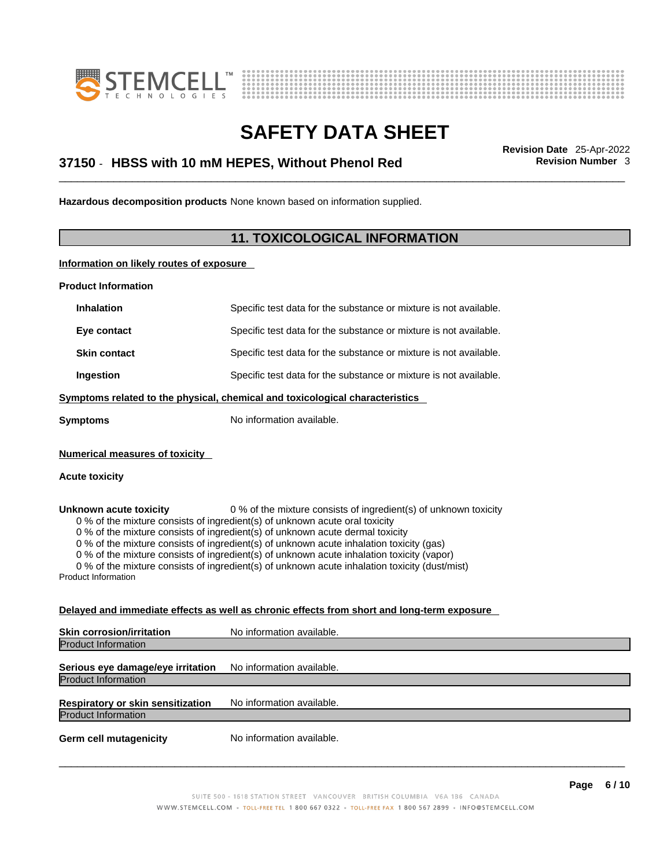



## \_\_\_\_\_\_\_\_\_\_\_\_\_\_\_\_\_\_\_\_\_\_\_\_\_\_\_\_\_\_\_\_\_\_\_\_\_\_\_\_\_\_\_\_\_\_\_\_\_\_\_\_\_\_\_\_\_\_\_\_\_\_\_\_\_\_\_\_\_\_\_\_\_\_\_\_\_\_\_\_\_\_\_\_\_\_\_\_\_\_\_\_\_ **Revision Date** 25-Apr-2022 **37150** - **HBSS with 10 mM HEPES, Without Phenol Red Revision Number** 3

**Hazardous decomposition products** None known based on information supplied.

### **11. TOXICOLOGICAL INFORMATION**

**Information on likely routes of exposure**

**Product Information**

| <b>Inhalation</b>                                              | Specific test data for the substance or mixture is not available.                                                                                                                                                                                                                                                                                                                                                                                                                                                         |
|----------------------------------------------------------------|---------------------------------------------------------------------------------------------------------------------------------------------------------------------------------------------------------------------------------------------------------------------------------------------------------------------------------------------------------------------------------------------------------------------------------------------------------------------------------------------------------------------------|
| Eye contact                                                    | Specific test data for the substance or mixture is not available.                                                                                                                                                                                                                                                                                                                                                                                                                                                         |
| <b>Skin contact</b>                                            | Specific test data for the substance or mixture is not available.                                                                                                                                                                                                                                                                                                                                                                                                                                                         |
| Ingestion                                                      | Specific test data for the substance or mixture is not available.                                                                                                                                                                                                                                                                                                                                                                                                                                                         |
|                                                                | Symptoms related to the physical, chemical and toxicological characteristics                                                                                                                                                                                                                                                                                                                                                                                                                                              |
| <b>Symptoms</b>                                                | No information available.                                                                                                                                                                                                                                                                                                                                                                                                                                                                                                 |
| <b>Numerical measures of toxicity</b><br><b>Acute toxicity</b> |                                                                                                                                                                                                                                                                                                                                                                                                                                                                                                                           |
| Unknown acute toxicity<br><b>Product Information</b>           | 0 % of the mixture consists of ingredient(s) of unknown toxicity<br>0 % of the mixture consists of ingredient(s) of unknown acute oral toxicity<br>0 % of the mixture consists of ingredient(s) of unknown acute dermal toxicity<br>0 % of the mixture consists of ingredient(s) of unknown acute inhalation toxicity (gas)<br>0 % of the mixture consists of ingredient(s) of unknown acute inhalation toxicity (vapor)<br>0 % of the mixture consists of ingredient(s) of unknown acute inhalation toxicity (dust/mist) |

### **Delayed and immediate effects as well as chronic effects from short and long-term exposure**

| <b>Skin corrosion/irritation</b>  | No information available. |
|-----------------------------------|---------------------------|
| <b>Product Information</b>        |                           |
| Serious eye damage/eye irritation | No information available. |
| <b>Product Information</b>        |                           |
| Respiratory or skin sensitization | No information available. |
| <b>Product Information</b>        |                           |
| <b>Germ cell mutagenicity</b>     | No information available. |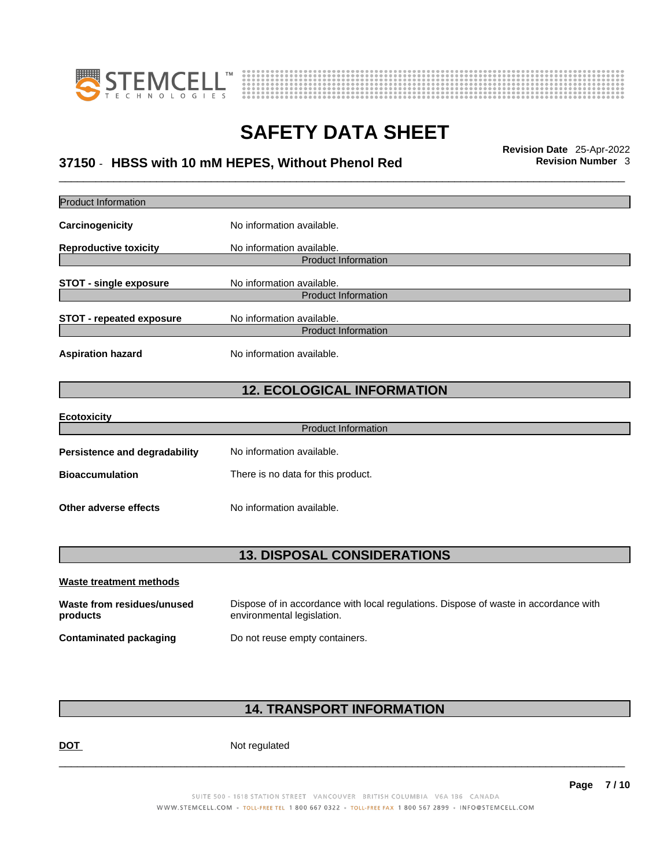



## \_\_\_\_\_\_\_\_\_\_\_\_\_\_\_\_\_\_\_\_\_\_\_\_\_\_\_\_\_\_\_\_\_\_\_\_\_\_\_\_\_\_\_\_\_\_\_\_\_\_\_\_\_\_\_\_\_\_\_\_\_\_\_\_\_\_\_\_\_\_\_\_\_\_\_\_\_\_\_\_\_\_\_\_\_\_\_\_\_\_\_\_\_ **Revision Date** 25-Apr-2022 **37150** - **HBSS with 10 mM HEPES, Without Phenol Red Revision Number** 3

| Product Information                    |                                                                                                                    |
|----------------------------------------|--------------------------------------------------------------------------------------------------------------------|
| Carcinogenicity                        | No information available.                                                                                          |
| <b>Reproductive toxicity</b>           | No information available.                                                                                          |
|                                        | <b>Product Information</b>                                                                                         |
| <b>STOT - single exposure</b>          | No information available.<br><b>Product Information</b>                                                            |
|                                        |                                                                                                                    |
| <b>STOT - repeated exposure</b>        | No information available.                                                                                          |
|                                        | <b>Product Information</b>                                                                                         |
| <b>Aspiration hazard</b>               | No information available.                                                                                          |
|                                        | <b>12. ECOLOGICAL INFORMATION</b>                                                                                  |
| <b>Ecotoxicity</b>                     |                                                                                                                    |
|                                        | <b>Product Information</b>                                                                                         |
| <b>Persistence and degradability</b>   | No information available.                                                                                          |
| <b>Bioaccumulation</b>                 | There is no data for this product.                                                                                 |
| <b>Other adverse effects</b>           | No information available.                                                                                          |
|                                        | <b>13. DISPOSAL CONSIDERATIONS</b>                                                                                 |
|                                        |                                                                                                                    |
| Waste treatment methods                |                                                                                                                    |
| Waste from residues/unused<br>products | Dispose of in accordance with local regulations. Dispose of waste in accordance with<br>environmental legislation. |
| <b>Contaminated packaging</b>          | Do not reuse empty containers.                                                                                     |
|                                        |                                                                                                                    |

### **14. TRANSPORT INFORMATION**

DOT Not regulated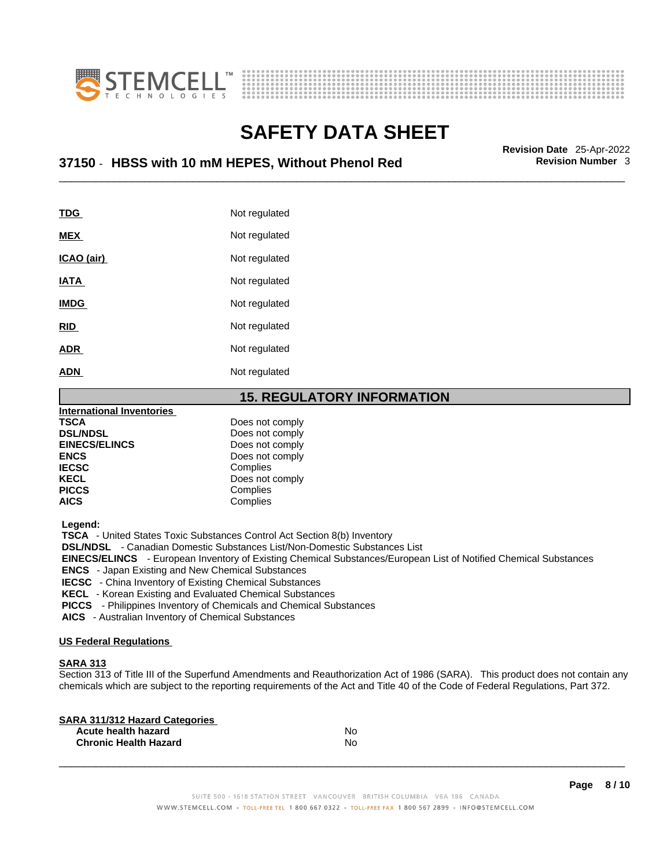



## \_\_\_\_\_\_\_\_\_\_\_\_\_\_\_\_\_\_\_\_\_\_\_\_\_\_\_\_\_\_\_\_\_\_\_\_\_\_\_\_\_\_\_\_\_\_\_\_\_\_\_\_\_\_\_\_\_\_\_\_\_\_\_\_\_\_\_\_\_\_\_\_\_\_\_\_\_\_\_\_\_\_\_\_\_\_\_\_\_\_\_\_\_ **Revision Date** 25-Apr-2022 **37150** - **HBSS with 10 mM HEPES, Without Phenol Red Revision Number** 3

| TDG               | Not regulated |
|-------------------|---------------|
| <b>MEX</b>        | Not regulated |
| <u>ICAO (air)</u> | Not regulated |
| <b>IATA</b>       | Not regulated |
| <b>IMDG</b>       | Not regulated |
| <b>RID</b>        | Not regulated |
| <b>ADR</b>        | Not regulated |
| <b>ADN</b>        | Not regulated |

**15. REGULATORY INFORMATION** 

| <b>International Inventories</b> |                 |
|----------------------------------|-----------------|
| <b>TSCA</b>                      | Does not comply |
| <b>DSL/NDSL</b>                  | Does not comply |
| <b>EINECS/ELINCS</b>             | Does not comply |
| <b>ENCS</b>                      | Does not comply |
| <b>IECSC</b>                     | Complies        |
| <b>KECL</b>                      | Does not comply |
| <b>PICCS</b>                     | Complies        |
| <b>AICS</b>                      | Complies        |
|                                  |                 |

 **Legend:** 

 **TSCA** - United States Toxic Substances Control Act Section 8(b) Inventory

 **DSL/NDSL** - Canadian Domestic Substances List/Non-Domestic Substances List

 **EINECS/ELINCS** - European Inventory of Existing Chemical Substances/European List of Notified Chemical Substances

 **ENCS** - Japan Existing and New Chemical Substances

 **IECSC** - China Inventory of Existing Chemical Substances

 **KECL** - Korean Existing and Evaluated Chemical Substances

 **PICCS** - Philippines Inventory of Chemicals and Chemical Substances

 **AICS** - Australian Inventory of Chemical Substances

#### **US Federal Regulations**

#### **SARA 313**

Section 313 of Title III of the Superfund Amendments and Reauthorization Act of 1986 (SARA). This product does not contain any chemicals which are subject to the reporting requirements of the Act and Title 40 of the Code of Federal Regulations, Part 372.

| No |  |
|----|--|
| N٥ |  |
|    |  |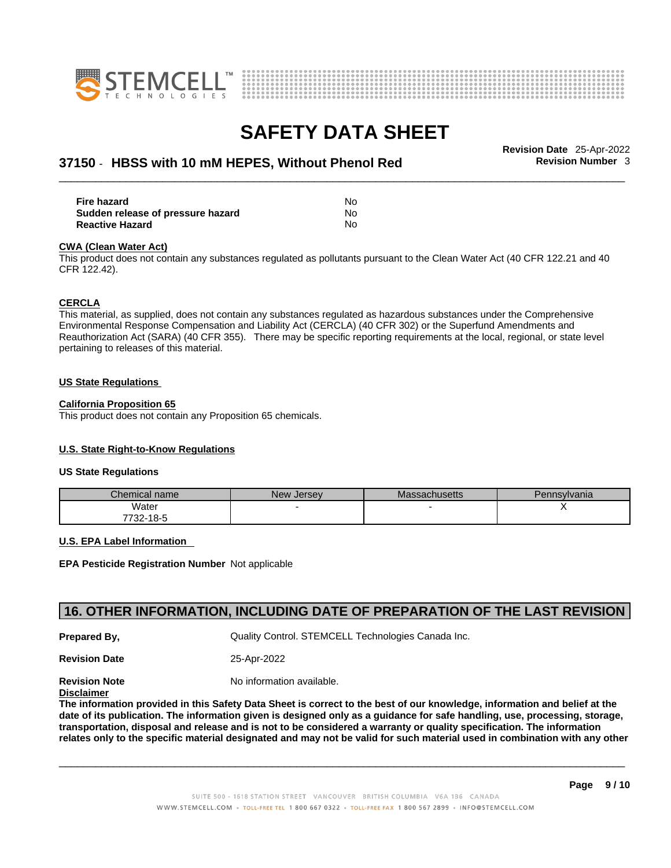



## \_\_\_\_\_\_\_\_\_\_\_\_\_\_\_\_\_\_\_\_\_\_\_\_\_\_\_\_\_\_\_\_\_\_\_\_\_\_\_\_\_\_\_\_\_\_\_\_\_\_\_\_\_\_\_\_\_\_\_\_\_\_\_\_\_\_\_\_\_\_\_\_\_\_\_\_\_\_\_\_\_\_\_\_\_\_\_\_\_\_\_\_\_ **Revision Date** 25-Apr-2022 **37150** - **HBSS with 10 mM HEPES, Without Phenol Red Revision Number** 3

| Fire hazard                       | No |
|-----------------------------------|----|
| Sudden release of pressure hazard | No |
| <b>Reactive Hazard</b>            | No |

#### **CWA** (Clean Water Act)

This product does not contain any substances regulated as pollutants pursuant to the Clean Water Act (40 CFR 122.21 and 40 CFR 122.42).

#### **CERCLA**

This material, as supplied, does not contain any substances regulated as hazardous substances under the Comprehensive Environmental Response Compensation and Liability Act (CERCLA) (40 CFR 302) or the Superfund Amendments and Reauthorization Act (SARA) (40 CFR 355). There may be specific reporting requirements at the local, regional, or state level pertaining to releases of this material.

#### **US State Regulations**

#### **California Proposition 65**

This product does not contain any Proposition 65 chemicals.

### **U.S. State Right-to-Know Regulations**

#### **US State Regulations**

| Chemical name     | New<br><b>Jersey</b> | <b>Massachusetts</b> | Pennsylvania |
|-------------------|----------------------|----------------------|--------------|
| Water             |                      |                      |              |
| 7700.<br>732-18-5 |                      |                      |              |

#### **U.S. EPA Label Information**

**EPA Pesticide Registration Number** Not applicable

### **16. OTHER INFORMATION, INCLUDING DATE OF PREPARATION OF THE LAST REVISION**

**Prepared By, Cuality Control. STEMCELL Technologies Canada Inc.** 

**Revision Date** 25-Apr-2022

**Revision Note** Noinformation available.

**Disclaimer**

The information provided in this Safety Data Sheet is correct to the best of our knowledge, information and belief at the date of its publication. The information given is designed only as a guidance for safe handling, use, processing, storage, transportation, disposal and release and is not to be considered a warranty or quality specification. The information relates only to the specific material designated and may not be valid for such material used in combination with any other